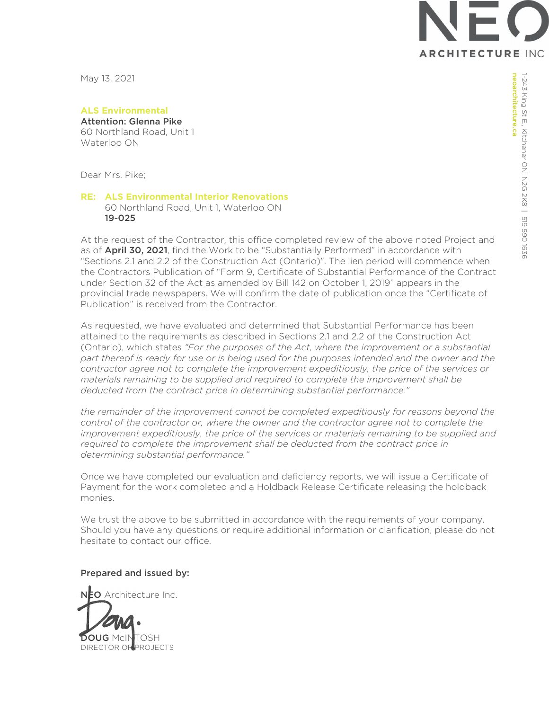**ARCHITECTURE INC** 

May 13, 2021

**ALS Environmental**  Attention: Glenna Pike

60 Northland Road, Unit 1 Waterloo ON

Dear Mrs. Pike;

## **RE: ALS Environmental Interior Renovations**  60 Northland Road, Unit 1, Waterloo ON 19-025

At the request of the Contractor, this office completed review of the above noted Project and as of **April 30, 2021**, find the Work to be "Substantially Performed" in accordance with "Sections 2.1 and 2.2 of the Construction Act (Ontario)". The lien period will commence when the Contractors Publication of "Form 9, Certificate of Substantial Performance of the Contract under Section 32 of the Act as amended by Bill 142 on October 1, 2019" appears in the provincial trade newspapers. We will confirm the date of publication once the "Certificate of Publication" is received from the Contractor.

As requested, we have evaluated and determined that Substantial Performance has been attained to the requirements as described in Sections 2.1 and 2.2 of the Construction Act (Ontario), which states *"For the purposes of the Act, where the improvement or a substantial*  part thereof is ready for use or is being used for the purposes intended and the owner and the *contractor agree not to complete the improvement expeditiously, the price of the services or materials remaining to be supplied and required to complete the improvement shall be deducted from the contract price in determining substantial performance."* 

*the remainder of the improvement cannot be completed expeditiously for reasons beyond the control of the contractor or, where the owner and the contractor agree not to complete the improvement expeditiously, the price of the services or materials remaining to be supplied and* required to complete the improvement shall be deducted from the contract price in *determining substantial performance."* 

Once we have completed our evaluation and deficiency reports, we will issue a Certificate of Payment for the work completed and a Holdback Release Certificate releasing the holdback monies.

We trust the above to be submitted in accordance with the requirements of your company. Should you have any questions or require additional information or clarification, please do not hesitate to contact our office.

## Prepared and issued by:

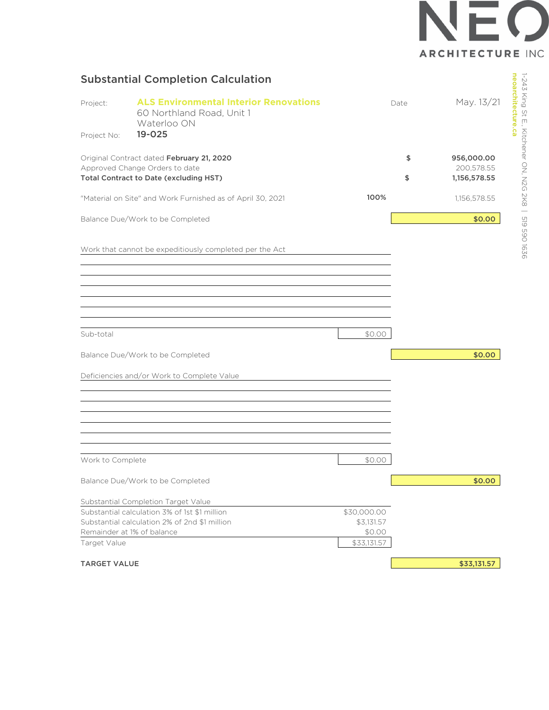

## Substantial Completion Calculation

| Project:<br>Project No:                                                  | <b>ALS Environmental Interior Renovations</b><br>60 Northland Road, Unit 1<br>Waterloo ON<br>19-025 |             | Date | May. 13/21                 |
|--------------------------------------------------------------------------|-----------------------------------------------------------------------------------------------------|-------------|------|----------------------------|
|                                                                          | Original Contract dated February 21, 2020                                                           |             | \$   | 956,000.00                 |
| Approved Change Orders to date<br>Total Contract to Date (excluding HST) |                                                                                                     |             | \$   | 200,578.55<br>1,156,578.55 |
|                                                                          | "Material on Site" and Work Furnished as of April 30, 2021                                          | 100%        |      | 1,156,578.55               |
|                                                                          | Balance Due/Work to be Completed                                                                    |             |      | \$0.00                     |
|                                                                          | Work that cannot be expeditiously completed per the Act                                             |             |      |                            |
|                                                                          |                                                                                                     |             |      |                            |
|                                                                          |                                                                                                     |             |      |                            |
|                                                                          |                                                                                                     |             |      |                            |
| Sub-total                                                                |                                                                                                     | \$0.00      |      |                            |
|                                                                          | Balance Due/Work to be Completed                                                                    |             |      | \$0.00                     |
|                                                                          | Deficiencies and/or Work to Complete Value                                                          |             |      |                            |
|                                                                          |                                                                                                     |             |      |                            |
|                                                                          |                                                                                                     |             |      |                            |
|                                                                          |                                                                                                     |             |      |                            |
| Work to Complete                                                         |                                                                                                     | \$0.00      |      |                            |
|                                                                          | Balance Due/Work to be Completed                                                                    |             |      | \$0.00                     |
|                                                                          | Substantial Completion Target Value                                                                 |             |      |                            |
|                                                                          | Substantial calculation 3% of 1st \$1 million                                                       | \$30,000.00 |      |                            |
|                                                                          | Substantial calculation 2% of 2nd \$1 million                                                       | \$3,131.57  |      |                            |
|                                                                          | Remainder at 1% of balance                                                                          | \$0.00      |      |                            |
| Target Value                                                             |                                                                                                     | \$33,131.57 |      |                            |
| <b>TARGET VALUE</b>                                                      |                                                                                                     |             |      | \$33,131.57                |